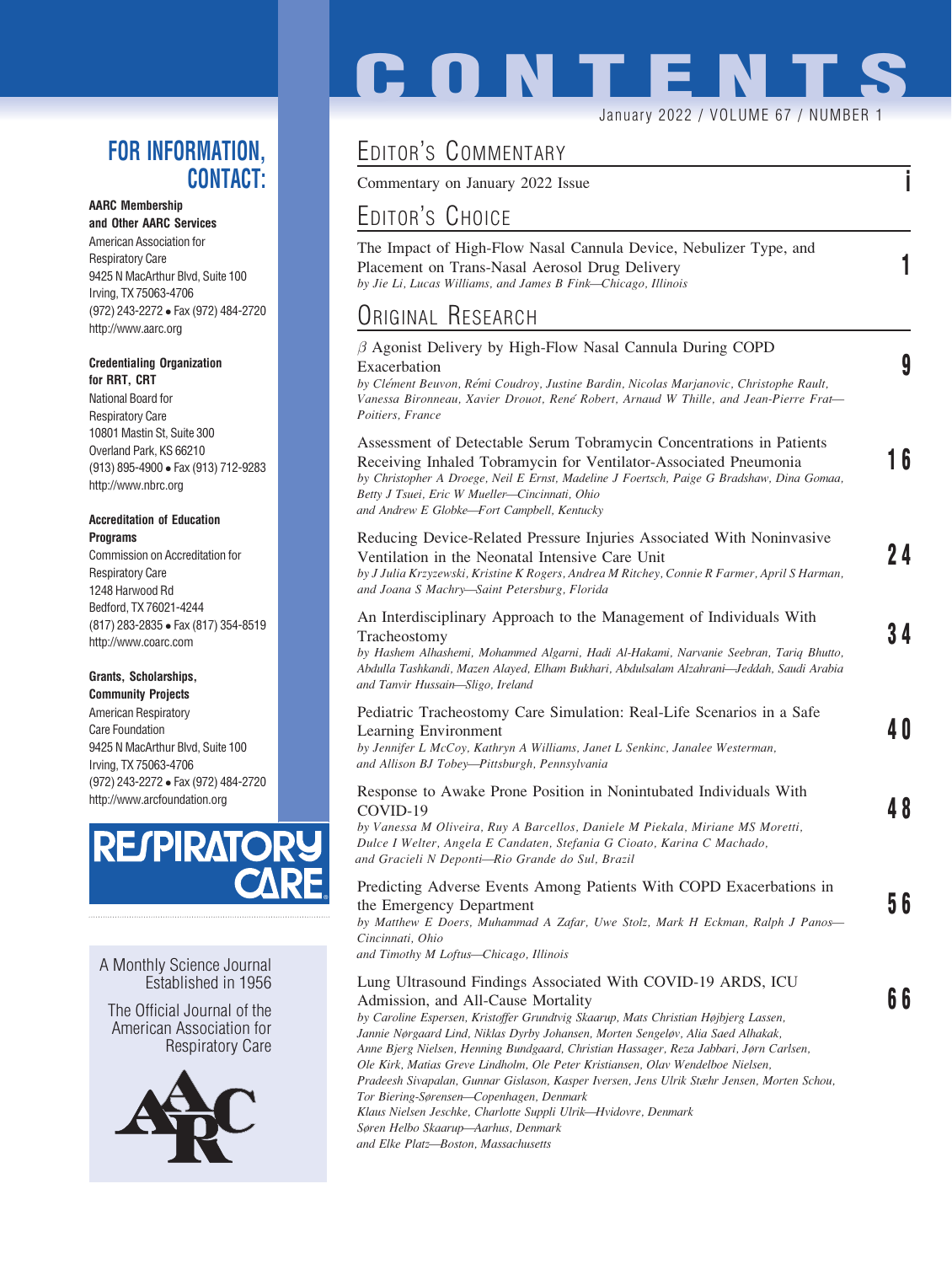## FOR INFORMATION, CONTACT:

### AARC Membership

and Other AARC Services American Association for Respiratory Care 9425 N MacArthur Blvd, Suite 100 Irving, TX 75063-4706 (972) 243-2272 Fax (972) 484-2720 http://www.aarc.org

#### Credentialing Organization for RRT, CRT

National Board for Respiratory Care 10801 Mastin St, Suite 300 Overland Park, KS 66210 (913) 895-4900 Fax (913) 712-9283 http://www.nbrc.org

#### Accreditation of Education **Programs**

Commission on Accreditation for Respiratory Care 1248 Harwood Rd Bedford, TX 76021-4244 (817) 283-2835 Fax (817) 354-8519 http://www.coarc.com

## Grants, Scholarships,

Community Projects American Respiratory Care Foundation 9425 N MacArthur Blvd, Suite 100 Irving, TX 75063-4706 (972) 243-2272 Fax (972) 484-2720 http://www.arcfoundation.org



A Monthly Science Journal Established in 1956

The Official Journal of the American Association for Respiratory Care



# **CONTENT**

January 2022 / VOLUME 67 / NUMBER 1

# EDITOR'S COMMENTARY

Commentary on January 2022 Issue in the same in the set of the set of the set of the set of the set of the set of the set of the set of the set of the set of the set of the set of the set of the set of the set of the set o

# EDITOR'S CHOICE

The Impact of High-Flow Nasal Cannula Device, Nebulizer Type, and Placement on Trans-Nasal Aerosol Drug Delivery 1 by Jie Li, Lucas Williams, and James B Fink—Chicago, Illinois

## ORIGINAL RESEARCH

| $\beta$ Agonist Delivery by High-Flow Nasal Cannula During COPD<br>Exacerbation<br>by Clément Beuvon, Rémi Coudroy, Justine Bardin, Nicolas Marjanovic, Christophe Rault,<br>Vanessa Bironneau, Xavier Drouot, René Robert, Arnaud W Thille, and Jean-Pierre Frat-<br>Poitiers. France                                                 | 9   |
|----------------------------------------------------------------------------------------------------------------------------------------------------------------------------------------------------------------------------------------------------------------------------------------------------------------------------------------|-----|
| Assessment of Detectable Serum Tobramycin Concentrations in Patients<br>Receiving Inhaled Tobramycin for Ventilator-Associated Pneumonia<br>by Christopher A Droege, Neil E Ernst, Madeline J Foertsch, Paige G Bradshaw, Dina Gomaa,<br>Betty J Tsuei, Eric W Mueller-Cincinnati, Ohio<br>and Andrew E Globke-Fort Campbell, Kentucky | 16  |
| Reducing Device-Related Pressure Injuries Associated With Noninvasive<br>Ventilation in the Neonatal Intensive Care Unit<br>by J Julia Krzyzewski, Kristine K Rogers, Andrea M Ritchey, Connie R Farmer, April S Harman,<br>and Joana S Machry-Saint Petersburg, Florida                                                               | 24  |
| An Interdisciplinary Approach to the Management of Individuals With<br>Tracheostomy<br>by Hashem Alhashemi, Mohammed Algarni, Hadi Al-Hakami, Narvanie Seebran, Tariq Bhutto,<br>Abdulla Tashkandi, Mazen Alayed, Elham Bukhari, Abdulsalam Alzahrani—Jeddah, Saudi Arabia<br>and Tanvir Hussain-Sligo, Ireland                        | 34  |
| Pediatric Tracheostomy Care Simulation: Real-Life Scenarios in a Safe<br>Learning Environment<br>by Jennifer L McCoy, Kathryn A Williams, Janet L Senkinc, Janalee Westerman,<br>and Allison BJ Tobey-Pittsburgh, Pennsylvania                                                                                                         | 4 O |
| Response to Awake Prone Position in Nonintubated Individuals With<br>COVID-19<br>by Vanessa M Oliveira, Ruy A Barcellos, Daniele M Piekala, Miriane MS Moretti,<br>Dulce I Welter, Angela E Candaten, Stefania G Cioato, Karina C Machado,<br>and Gracieli N Deponti-Rio Grande do Sul, Brazil                                         | 48  |
| Predicting Adverse Events Among Patients With COPD Exacerbations in<br>the Emergency Department<br>by Matthew E Doers, Muhammad A Zafar, Uwe Stolz, Mark H Eckman, Ralph J Panos-<br>Cincinnati, Ohio<br>and Timothy M Loftus-Chicago, Illinois                                                                                        | 56  |
| Lung Ultrasound Findings Associated With COVID-19 ARDS, ICU<br>Admission, and All-Cause Mortality<br>by Caroline Espersen, Kristoffer Grundtvig Skaarup, Mats Christian Højbjerg Lassen,<br>Jannie Nørgaard Lind, Niklas Dyrby Johansen, Morten Sengeløv, Alia Saed Alhakak,                                                           | 66  |

Anne Bjerg Nielsen, Henning Bundgaard, Christian Hassager, Reza Jabbari, Jørn Carlsen, Ole Kirk, Matias Greve Lindholm, Ole Peter Kristiansen, Olav Wendelboe Nielsen, Pradeesh Sivapalan, Gunnar Gislason, Kasper Iversen, Jens Ulrik Stæhr Jensen, Morten Schou, Tor Biering-Sørensen—Copenhagen, Denmark Klaus Nielsen Jeschke, Charlotte Suppli Ulrik—Hvidovre, Denmark Søren Helbo Skaarup—Aarhus, Denmark

and Elke Platz—Boston, Massachusetts